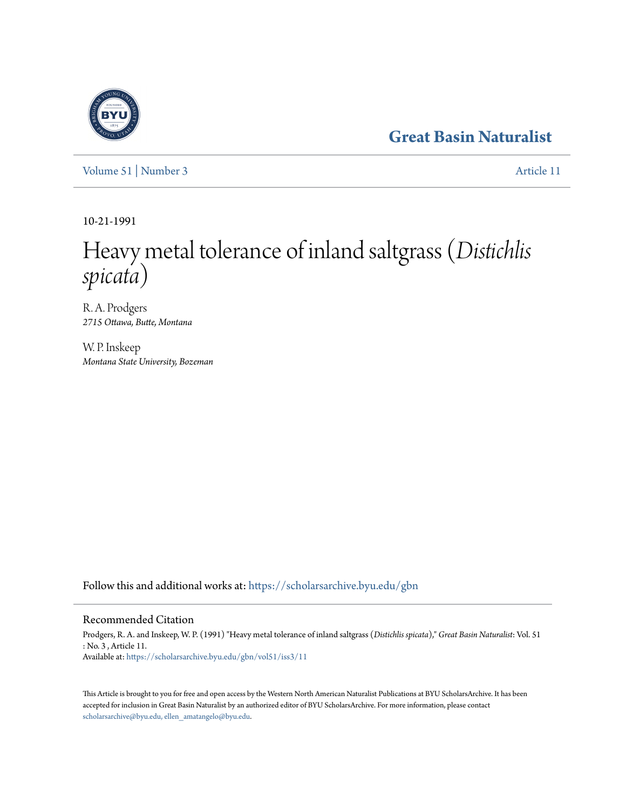## **[Great Basin Naturalist](https://scholarsarchive.byu.edu/gbn?utm_source=scholarsarchive.byu.edu%2Fgbn%2Fvol51%2Fiss3%2F11&utm_medium=PDF&utm_campaign=PDFCoverPages)**

[Volume 51](https://scholarsarchive.byu.edu/gbn/vol51?utm_source=scholarsarchive.byu.edu%2Fgbn%2Fvol51%2Fiss3%2F11&utm_medium=PDF&utm_campaign=PDFCoverPages) | [Number 3](https://scholarsarchive.byu.edu/gbn/vol51/iss3?utm_source=scholarsarchive.byu.edu%2Fgbn%2Fvol51%2Fiss3%2F11&utm_medium=PDF&utm_campaign=PDFCoverPages) [Article 11](https://scholarsarchive.byu.edu/gbn/vol51/iss3/11?utm_source=scholarsarchive.byu.edu%2Fgbn%2Fvol51%2Fiss3%2F11&utm_medium=PDF&utm_campaign=PDFCoverPages)

10-21-1991

# Heavy metal tolerance of inland saltgrass (*Distichlis spicata*)

R. A. Prodgers *2715 Ottawa, Butte, Montana*

W. P. Inskeep *Montana State University, Bozeman*

Follow this and additional works at: [https://scholarsarchive.byu.edu/gbn](https://scholarsarchive.byu.edu/gbn?utm_source=scholarsarchive.byu.edu%2Fgbn%2Fvol51%2Fiss3%2F11&utm_medium=PDF&utm_campaign=PDFCoverPages)

#### Recommended Citation

Prodgers, R. A. and Inskeep, W. P. (1991) "Heavy metal tolerance of inland saltgrass (*Distichlis spicata*)," *Great Basin Naturalist*: Vol. 51 : No. 3 , Article 11. Available at: [https://scholarsarchive.byu.edu/gbn/vol51/iss3/11](https://scholarsarchive.byu.edu/gbn/vol51/iss3/11?utm_source=scholarsarchive.byu.edu%2Fgbn%2Fvol51%2Fiss3%2F11&utm_medium=PDF&utm_campaign=PDFCoverPages)

This Article is brought to you for free and open access by the Western North American Naturalist Publications at BYU ScholarsArchive. It has been accepted for inclusion in Great Basin Naturalist by an authorized editor of BYU ScholarsArchive. For more information, please contact [scholarsarchive@byu.edu, ellen\\_amatangelo@byu.edu.](mailto:scholarsarchive@byu.edu,%20ellen_amatangelo@byu.edu)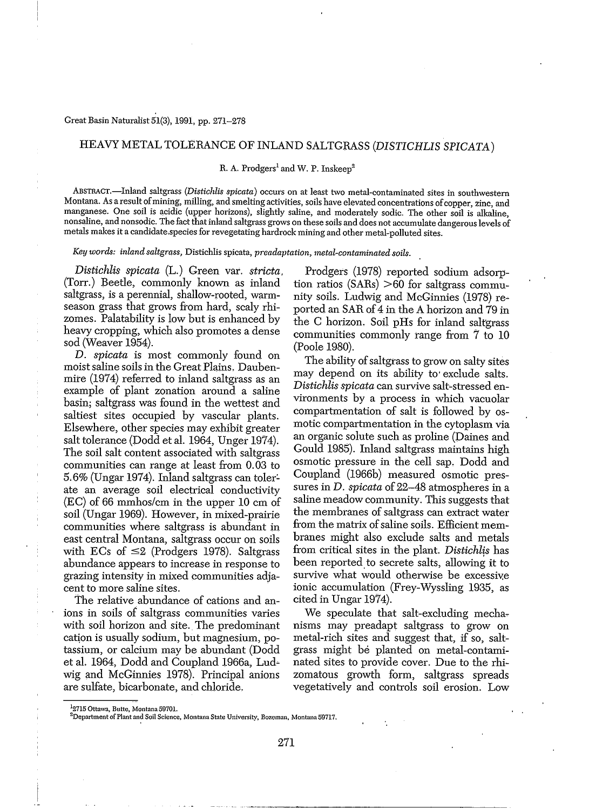#### Great Basin Naturalist 51(3), 1991, pp. 271-278

#### HEAVY METAL TOLERANCE OF INLAND SALTGRASS *(DISTICHLIS SPICATA)*

#### R. A. Prodgers<sup>1</sup> and W. P. Inskeep<sup>2</sup>

ABSTRACT.-Inland saltgrass *(Distichlis spicata)* occurs on at least two metal-contaminated sites in southwestern Montana. As a result of mining, milling, and smelting activities, soils have elevated concentrations of copper, zinc, and manganese. One soil is acidic (upper horizons), slightly saline, and moderately sodic. The other soil is alkaline, nonsaline, and nonsodic. The fact that inland saltgrass grows on these soils and does not accumulate dangerous levels of metals makes it a candidate,speciesfor revegetating hardrock mining and other metal-polluted sites.

*Key words: inland saltgmss,* Distichlis spicata, *preadaptation, metal-contaminated soils.*

*Distichlis spicata* (L.) Green vat. *stricta,* (Torr.) Beetle, commonly known as inland saltgrass, is a perennial, shallow-rooted, warmseason grass that grows from hard, scaly rhizomes. Palatability is low but is enhanced by heavy cropping, which also promotes a dense sod (Weaver 1954).

D. *spicata* is most commonly found on moist saline soils in the Great Plains. Daubenmire (1914) referred to inland saltgrass as an example of plant zonation around a saline basin; saltgrass was found in the wettest and saltiest sites occupied by vascular plants. Elsewhere, other species may exhibit greater salt tolerance (Dodd et al. 1964, Unger 1974). The soil salt content associated with saltgrass communities can range at least from 0.03 to 5.6% (Ungar 1974). Inland saltgrass can toler~ ate an average soil electrical conductivity (EC) of 66 mmhos/cm in the upper 10 cm of soil (Ungar 1969). However, in mixed-prairie communities where saltgrass is abundant in east central Montana, saltgrass occur on soils with ECs of  $\leq$ 2 (Prodgers 1978). Saltgrass abundance appears to increase in response to grazing intensity in mixed communities adja~ cent to more saline sites.

The relative abundance of cations and anions in soils of saltgrass communities varies with soil horizon and site. The predominant cation is usually sodium, but magnesium, potassium, or calcium may be abundant (Dodd et al. 1964, Dodd and Coupland 1966a, Ludwig and McGinnies 1978). Principal anions are sulfate, bicarbonate, and chloride.

Prodgers (1978) reported sodium adsorption ratios (SARs) >60 for saltgrass community soils. Ludwig and McGinnies (1978) re~ ported an SAR of 4 in the A horizon and 79 in the C horizon. Soil pHs for inland saltgrass communities commonly range from 7 to 10 (Poole 1980).

The ability of saltgrass to grow on salty sites may depend on its ability to' exclude salts. *Distichlis spicata* can survive salt~stressed environments by a process in which vacuolar compartmentation of salt is followed by osmotic compartmentation in the cytoplasm via an organic solute such as proline (Daines and Gould 1985). Inland saltgrass maintains high osmotic pressure in the cell sap. Dodd and Coupland (1966b) measured osmotic pressures in D. *spicata* of 22-48 atmospheres in a saline meadow community. This suggests that the membranes of saltgrass can extract water from the matrix of saline soils. Efficient membranes might also exclude salts and metals from critical sites in the plant. Distichlis has been reported to secrete salts, allowing it to survive what would otherwise be excessive ionic accumulation (Frey-Wyssling 1935, as cited in Ungar 1974).

We speculate that salt-excluding mechanisms may preadapt saltgrass to grow on metal-rich sites and suggest that, if so, saltgrass might be planted on metal-contaminated sites to provide cover. Due to the rhizomatous growth form, saltgrass spreads vegetatively and controls soil erosion. Low

<sup>&</sup>lt;sup>1</sup>2715 Ottawa, Butte, Montana 59701.

**<sup>2</sup>Department** ofPlant **and Soil Science, Montana State University. Bozeman, Montana 59717.**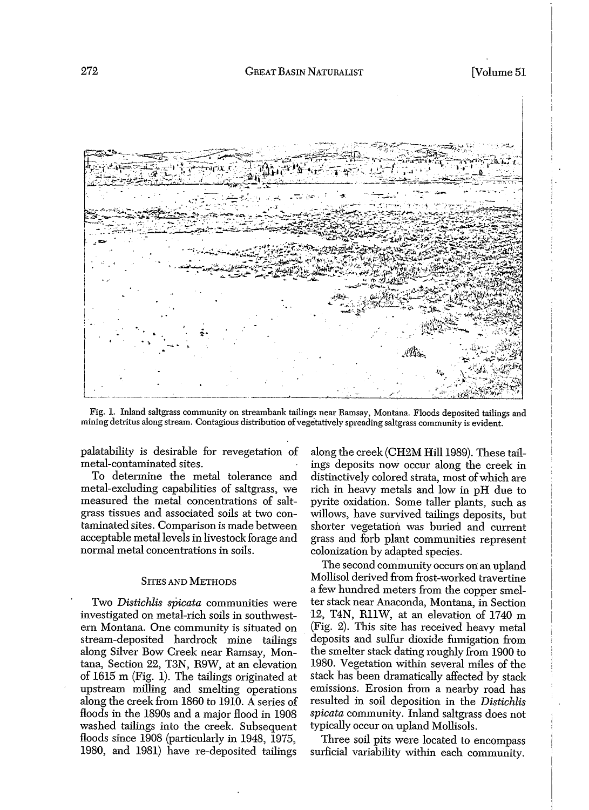

Fig. 1. Inland saltgrass community on streambank tailings near Ramsay, Montana. Floods deposited tailings and mining detritus along stream. Contagious distribution of vegetatively spreading saltgrass community is evident.

palatability is desirable for revegetation of metal-contaminated sites.

To determine the metal tolerance and metal-excluding capabilities of saltgrass, we measured the metal concentrations of saltgrass tissues and associated soils at two contaminated sites. Comparison is made between acceptable metal levels in livestock forage and normal metal concentrations in soils.

#### SITES AND METHODS

Two *Distichlis spicata* communities were investigated on metal-rich soils in southwestern Montana. One community is situated on stream-deposited hardrock mine tailings along Silver Bow Creek near Ramsay, Montana, Section 22, T3N, R9W, at an elevation of 1615 m (Fig. 1). The tailings originated at upstream milling and smelting operations along the creek from 1860 to 1910. A series of floods in the 1890s and a major flood in 1908 washed tailings into the creek. Subsequent floods since 1908 (particularly in 1948, 1975, 1980, and 1981) have re-deposited tailings

along the creek (CH2M Hill 1989). These tailings deposits now occur along the creek in distinctively colored strata, most of which are rich in heavy metals and low in pH due to pyrite oxidation. Some taller plants, such as willows, have survived tailings deposits, but shorter vegetation was buried and current grass and forb plant communities represent colonization by adapted species.

The second community occurs on an upland Mollisol derived from frost-worked travertine a few hundred meters from the copper smelter stack near Anaconda, Montana, in Section 12, T4N, RllW, at an elevation of 1740 m (Fig. 2). This site has received heavy metal deposits and sulfur dioxide fumigation from the smelter stack dating roughly from 1900 to 1980. Vegetation within several miles of the stack has been dramatically affected by stack emissions. Erosion from a nearby road has resulted in soil deposition in the *Distichlis spicata* community. Inland saltgrass does not typically occur on upland Mollisols.

Three soil pits were located to encompass surficial variability within each community.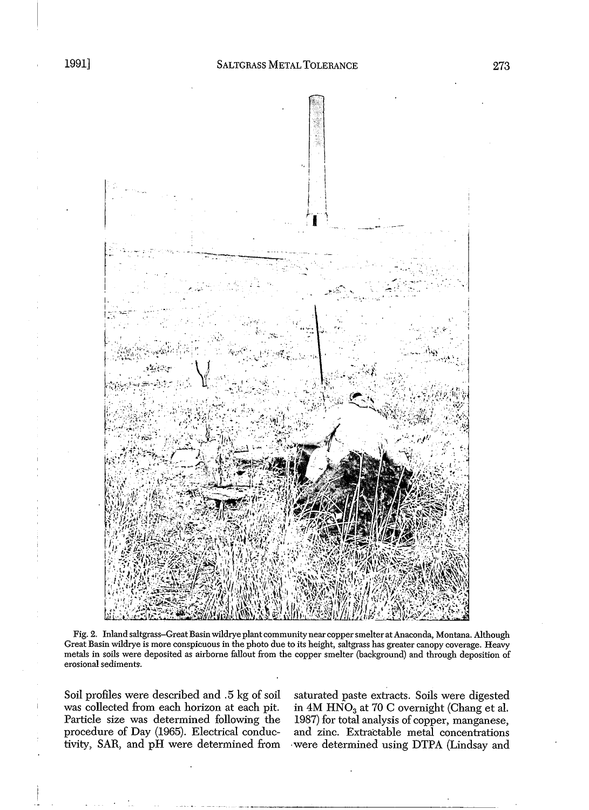

Fig. 2. Inland saltgrass-Great Basin wildrye plant community near copper smelter at Anaconda, Montana. Although Great Basin wildrye is more conspicuous in the photo due to its height, saltgrass has greater canopy coverage. Heavy metals in soils were deposited as airborne fallout from the copper smelter (background) and through deposition of erosional sediments.

Soil profiles were described and .5 kg of soil was collected from each horizon at each pit. Particle size was determined following the procedure of Day (1965). Electrical conductivity, SAR, and pH were determined from

saturated paste extracts. Soils were digested in 4M  $\widehat{HNO}_3$  at 70 C overnight (Chang et al. 1987) for total analysis of copper, manganese, and zinc. Extractable metal concentrations .were determined using DTPA (Lindsay and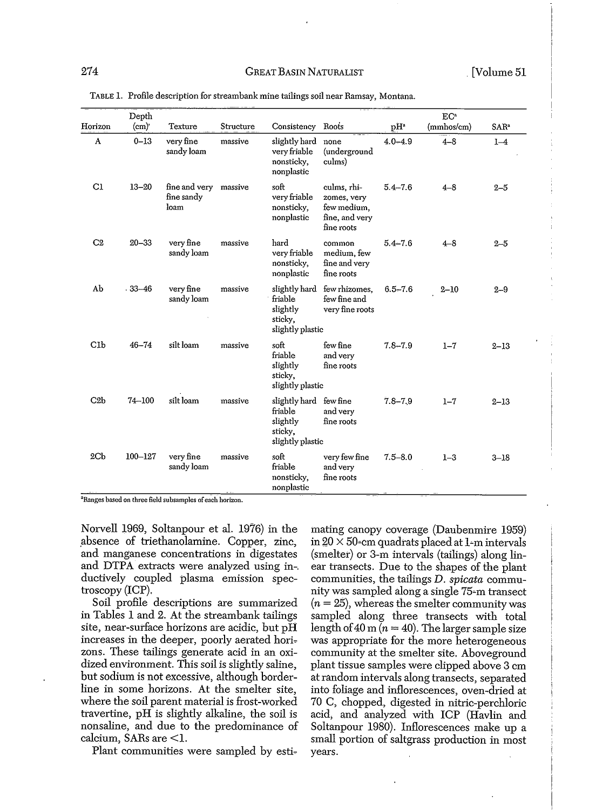|                 | Depth       |                                             |           |                                                                              |                                                                           |                 | EC <sup>a</sup> |                  |
|-----------------|-------------|---------------------------------------------|-----------|------------------------------------------------------------------------------|---------------------------------------------------------------------------|-----------------|-----------------|------------------|
| Horizon         | (cm)        | Texture                                     | Structure | Consistency                                                                  | Roots                                                                     | pH <sup>a</sup> | (mmhos/cm)      | SAR <sup>a</sup> |
| A               | $0 - 13$    | very fine<br>sandy loam                     | massive   | slightly hard<br>very friable<br>nonsticky,<br>nonplastic                    | none<br>(underground<br>culms)                                            | $4.0 - 4.9$     | $4 - 8$         | $1-4$            |
| C1              | $13 - 20$   | fine and very massive<br>fine sandy<br>loam |           | soft<br>very friable<br>nonsticky,<br>nonplastic                             | culms, rhi-<br>zomes, very<br>few medium,<br>fine, and very<br>fine roots | $5.4 - 7.6$     | $4 - 8$         | $2 - 5$          |
| C <sub>2</sub>  | $20 - 33$   | very fine<br>sandy loam                     | massive   | hard<br>very friable<br>nonsticky,<br>nonplastic                             | common<br>medium, few<br>fine and very<br>fine roots                      | $5.4 - 7.6$     | $4 - 8$         | $2 - 5$          |
| Ab              | $-33 - 46$  | very fine<br>sandy loam                     | massive   | slightly hard<br>friable<br>slightly<br>sticky,<br>slightly plastic          | few rhizomes,<br>few fine and<br>very fine roots                          | $6.5 - 7.6$     | $2 - 10$        | $2 - 9$          |
| Clb             | $46 - 74$   | silt loam                                   | massive   | soft<br>friable<br>slightly<br>sticky,<br>slightly plastic                   | few fine<br>and very<br>fine roots                                        | $7.8 - 7.9$     | $1 - 7$         | $2 - 13$         |
| C2b             | $74 - 100$  | silt loam                                   | massive   | slightly hard few fine<br>friable<br>slightly<br>sticky,<br>slightly plastic | and very<br>fine roots                                                    | $7.8 - 7.9$     | $1 - 7$         | $2 - 13$         |
| 2 <sub>cb</sub> | $100 - 127$ | very fine<br>sandy loam                     | massive   | soft<br>friable<br>nonsticky,<br>nonplastic                                  | very few fine<br>and very<br>fine roots                                   | $7.5 - 8.0$     | $1 - 3$         | $3 - 18$         |

TABLE 1. Profile description for streamhank mine tailings soil near Ramsay, Montana.

**aRanges based on three field subsamples ofeach horizon.**

Norvell 1969, Soltanpour et al. 1976) in the absence of triethanolamine. Copper, zinc, and manganese concentrations in digestates and DTPA extracts were analyzed using in-. ductively coupled plasma emission spectroscopy (ICP).

Soil profile descriptions are summarized in Tables 1 and 2. At the streambank tailings site, near-surface horizons are acidic, but pH increases in the deeper, poorly aerated horizons. These tailings generate acid in an oxidized environment. This soil is slightly saline, but sodium is not excessive, although borderline in some horizons. At the smelter site, where the soil parent material is frost-worked travertine, pH is slightly alkaline, the soil is nonsaline, and due to the predominance of calcium, SARs are <1.

Plant communities were sampled by esti-

mating canopy coverage (Daubenmire 1959) in  $20 \times 50$ -cm quadrats placed at 1-m intervals (smelter) or 3-m intervals (tailings) along linear transects. Due to the shapes of the plant communities, the tailings D. *spicata* community was sampled along a single 75=m transect  $(n = 25)$ , whereas the smelter community was sampled along three transects with total length of 40 m ( $n = 40$ ). The larger sample size was appropriate for the more heterogeneous community at the smelter site. Aboveground plant tissue samples were clipped above 3 cm at random intervals along transects, separated into foliage and inflorescences, oven-dried at 70 C, chopped, digested in nitric-perchloric acid, and analyzed with ICP (Havlin and Soltanpour 1980). Inflorescences make up a small portion of saltgrass production in most years.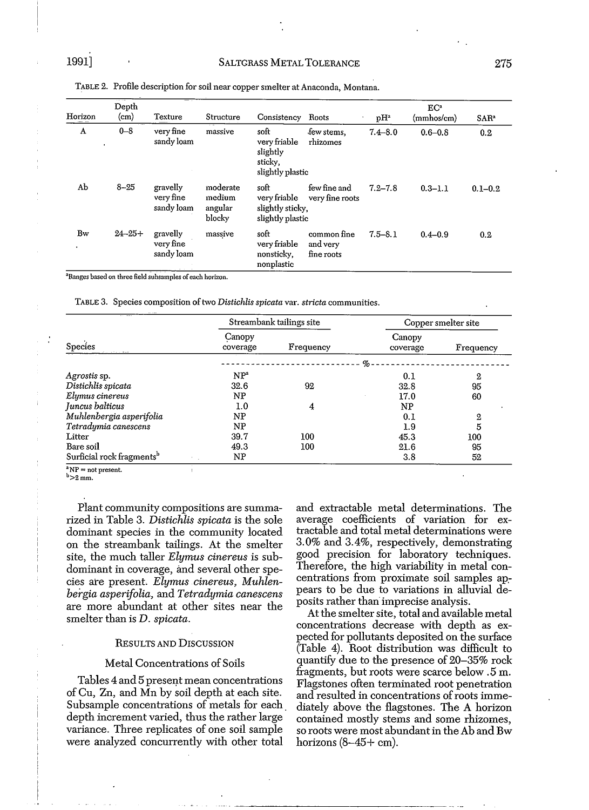| Horizon | Depth<br>(c <sub>m</sub> ) | Texture                                                              | Structure                               | Consistency                                                     | Roots                                 | pH <sup>a</sup> | EC <sup>a</sup><br>(mmhos/cm) | SAR <sup>a</sup> |
|---------|----------------------------|----------------------------------------------------------------------|-----------------------------------------|-----------------------------------------------------------------|---------------------------------------|-----------------|-------------------------------|------------------|
| A       | $0 - 8$<br>$\bullet$       | very fine<br>sandy loam                                              | massive                                 | soft<br>very friable<br>slightly<br>sticky,<br>slightly plastic | few stems.<br>rhizomes                | $7.4 - 8.0$     | $0.6 - 0.8$                   | 0.2              |
| Ab      | $8 - 25$                   | gravelly<br>very fine<br>sandy loam                                  | moderate<br>medium<br>angular<br>blocky | soft<br>very friable<br>slightly sticky,<br>slightly plastic    | few fine and<br>very fine roots       | $7.2 - 7.8$     | $0.3 - 1.1$                   | $0.1 - 0.2$      |
| Bw<br>٠ | $24 - 25 +$                | gravelly<br>very fine<br>sandy loam<br>the company of the company of | massive                                 | soft<br>very friable<br>nonsticky,<br>nonplastic                | common fine<br>and very<br>fine roots | $7.5 - 8.1$     | $0.4 - 0.9$                   | 0.2              |

TABLE 2. Profile description for soil near copper smelter at Anaconda, Montana.

**3Ranges based on three field subsamples of each horizon.**

TABLE 3. Species composition of two *Distichlis spicata* var. *stricta* communities.

|                                       |                    | Streambank tailings site | Copper smelter site |           |  |
|---------------------------------------|--------------------|--------------------------|---------------------|-----------|--|
| Species                               | Canopy<br>coverage | Frequency                | Canopy<br>coverage  | Frequency |  |
|                                       |                    |                          | $\%$                |           |  |
| Agrostis sp.                          | NP <sup>a</sup>    |                          | 0.1                 | 2         |  |
| Distichlis spicata                    | 32.6               | 92                       | 32.8                | 95        |  |
| Elymus cinereus                       | NP                 |                          | 17.0                | 60        |  |
| Juncus balticus                       | 1.0                | 4                        | NP                  |           |  |
| Muhlenbergia asperifolia              | ΝP                 |                          | 0.1                 | 2         |  |
| Tetradymia canescens                  | NP                 |                          | 1.9                 | 5         |  |
| Litter                                | 39.7               | 100                      | 45.3                | 100       |  |
| Bare soil                             | 49.3               | 100                      | 21.6                | 95        |  |
| Surficial rock fragments <sup>b</sup> | NP                 |                          | 3.8                 | 52        |  |

**3NP =** not present.

 $b > 2$  mm.

Plant community compositions are summarized in Table 3. *Distichlis spicata* is the sole dominant species in the community located on the streambank tailings. At the smelter site, the much taller *Elymus cinereus* is subdominant in coverage, and several other species are present. Elymus cinereus, Muhlen*bergia asperifolia,* and *Tetradymia canescens* are more abundant at other sites near the smelter than is D. *spicata.*

#### RESULTS AND DISCUSSION

#### Metal Concentrations of Soils

Tables 4 and 5 present mean concentrations of Cu, Zn, and Mn by soil depth at each site. Subsample concentrations of metals for each depth increment varied, thus the rather large variance. Three replicates of one soil sample were analyzed concurrently with other total

and extractable metal determinations. The average coefficients of variation for extractable and total metal determinations were 3.0% and 3.4%, respectively, demonstrating good precision for laboratory techniques. Therefore, the high variability in metal concentrations from proximate soil samples appears to be due to variations in alluvial deposits rather than imprecise analysis.

At the smelter site, total and available metal concentrations decrease with depth as expected for pollutants deposited on the surface (Table 4). Root distribution was difficult to quantify due to the presence of 20-35% rock fragments, but roots were scarce below. 5 m. Flagstones often terminated root penetration and resulted in concentrations of roots immediately above the flagstones. The A horizon contained mostly stems and some rhizomes, so roots were most abundant in the Ab and Bw horizons  $(8-45+$  cm).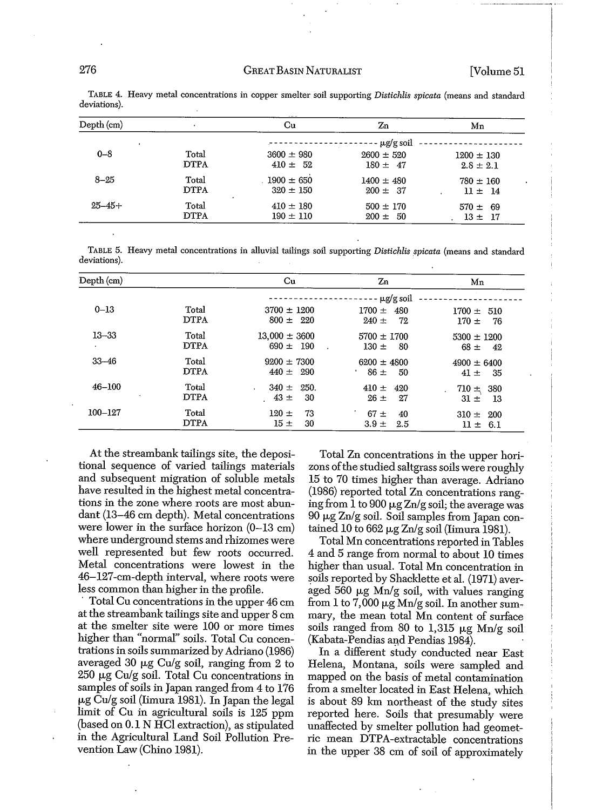### 276 GREAT BASIN NATURALIST [Volume 51

| Depth (cm)  |             | Cu             | Zn             | Mn             |
|-------------|-------------|----------------|----------------|----------------|
|             |             |                | $\mu$ g/g soil |                |
| $0 - 8$     | Total       | $3600 \pm 980$ | $2600 \pm 520$ | $1200 \pm 130$ |
|             | <b>DTPA</b> | $410 \pm 52$   | $180 \pm 47$   | $2.8 \pm 2.1$  |
| $8 - 25$    | Total       | $1900 \pm 650$ | $1400 \pm 480$ | $780 \pm 160$  |
|             | <b>DTPA</b> | $320 \pm 150$  | $200 \pm 37$   | $11 \pm 14$    |
| $25 - 45 +$ | Total       | $410 \pm 180$  | $500 \pm 170$  | $570 \pm 69$   |
|             | <b>DTPA</b> | $190 \pm 110$  | $200 \pm 50$   | $13 \pm 17$    |

TABLE 4. Heavy metal concentrations in copper smelter soil supporting *Distichlis spicata* (means and standard deviations).

TABLE 5. Heavy metal concentrations in alluvial tailings soil supporting *Distichlis spicata* (means and standard deviations).

| Depth (cm)            |                      | Cu                                               | Zn                                             | Mn                                  |
|-----------------------|----------------------|--------------------------------------------------|------------------------------------------------|-------------------------------------|
| $0 - 13$              | Total<br><b>DTPA</b> | $3700 \pm 1200$<br>$800 \pm 220$                 | - μg/g soil<br>$1700 \pm 480$<br>$240 =$<br>72 | $1700 \pm 510$<br>$170 \pm$<br>76   |
| $13 - 33$             | Total<br><b>DTPA</b> | $13,000 \pm 3600$<br>$690 \pm 190$               | $5700 \pm 1700$<br>$130 =$<br>- 80             | $5300 \pm 1200$<br>$68 \pm 42$      |
| $33 - 46$             | Total<br><b>DTPA</b> | $9200 \pm 7300$<br>$440 \pm 290$                 | $6200 \pm 4800$<br>$86 \pm 50$                 | $4900 \pm 6400$<br>$41 \pm$<br>- 35 |
| $46 - 100$<br>$\cdot$ | Total<br><b>DTPA</b> | $340 \pm 250$ .<br>$\mathbf{r}$<br>$43 =$<br>-30 | $410 =$<br>420<br>$26 \pm$<br>27               | $710 \pm 380$<br>-13<br>$31 \pm$    |
| $100 - 127$           | Total<br><b>DTPA</b> | 73<br>$120 \pm$<br>$15 =$<br>30                  | $67 \pm$<br>40<br>$3.9 \pm$<br>2.5             | $310 \pm$<br>- 200<br>$11 \pm 6.1$  |

At the streambank tailings site, the depositional sequence of varied tailings materials and subsequent migration of soluble metals have resulted in the highest metal concentrations in the zone where roots are most abundant (13-46 cm depth). Metal concentrations were lower in the surface horizon (0-13 cm) where underground stems and rhizomes were well represented but few roots occurred. Metal concentrations were lowest in the 46-127-cm-depth interval, where roots were less common than higher in the profile.

. Total Cu concentrations in the upper 46 cm at the streambank tailings site and upper 8 cm at the smelter site were 100 or more times higher than "normal" soils. Total Cu concentrations in soils summarized by Adriano (1986) averaged 30  $\mu$ g Cu/g soil, ranging from 2 to  $250 \mu$ g Cu/g soil. Total Cu concentrations in samples of soils in Japan ranged from 4 to 176  $\mu$ g Cu/g soil (Iimura 1981). In Japan the legal limit of Cu in agricultural soils is 125 ppm (based on 0.1 N HCI extraction), as stipulated in the Agricultural Land Soil Pollution Prevention Law (Chino 1981).

Total Zn concentrations in the upper horizons ofthe studied saltgrass soils were roughly 15 to 70 times higher than average. Adriano (1986) reported total Zn concentrations ranging from 1 to 900  $\mu$ g Zn/g soil; the average was  $90 \mu g$  Zn/g soil. Soil samples from Japan contained 10 to 662  $\mu$ g Zn/g soil (Iimura 1981).

Total Mn concentrations reported in Tables 4 and 5 range from normal to about 10 times higher than usual. Total Mn concentration in soils reported by Shacklette et al. (1971) averaged 560  $\mu$ g Mn/g soil, with values ranging from 1 to 7,000  $\mu$ g Mn/g soil. In another summary, the mean total Mn content of surface soils ranged from 80 to 1,315  $\mu$ g Mn/g soil (Kabata-Pendias and Pendias 1984).

In a different study conducted near East Helena, Montana, soils were sampled and mapped on the basis of metal contamination from a smelter located in East Helena, which is about 89 km northeast of the study sites reported here. Soils that presumably were unaffected by smelter pollution had geometric mean DTPA-extractable concentrations in the upper 38 cm of soil of approximately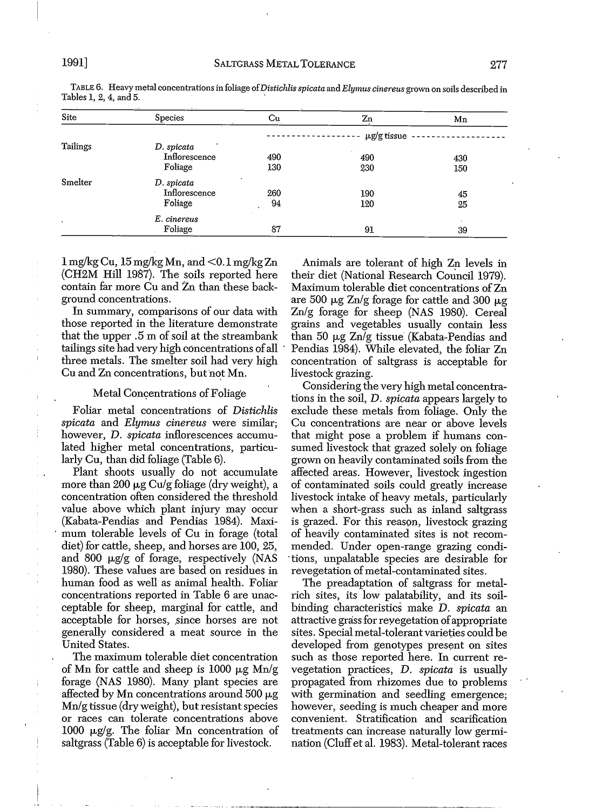| Site     | Species       | Сu  | Zn               | Mn  |
|----------|---------------|-----|------------------|-----|
|          |               |     | $\mu$ g/g tissue |     |
| Tailings | D. spicata    |     |                  |     |
|          | Inflorescence | 490 | 490              | 430 |
|          | Foliage       | 130 | 230              | 150 |
| Smelter  | D. spicata    |     |                  |     |
|          | Inflorescence | 260 | 190              | 45  |
| ٠        | Foliage       | 94  | 120              | 25  |
|          | E. cinereus   |     |                  |     |
|          | Foliage       | 87  | 91               | 39  |

TABLE 6. Heavy metal concentrationsin foliage of*Distichlisspicata* and *Elymus cinereus* grown on soils described in Tables 1, 2, 4, and 5. '

 $1 \,\mathrm{mg/kg}$  Cu,  $15 \,\mathrm{mg/kg}$  Mn, and  $\leq 0.1 \,\mathrm{mg/kg}$  Zn (CH2M Hill 1987). The soils reported here contain far more Cu and Zn than these background concentrations.

In summary, comparisons of our data with those reported in the literature demonstrate that the upper .5 m of soil at the streambank tailings site had very high concentrations ofall . three metals. The smelter soil had very high Cu and Zn concentrations, but not Mn.

#### Metal Concentrations of Foliage

Foliar metal concentrations of *Distichlis spicata* and *Elymus cinereus* were similar; however, D. *spicata* inflorescences accumulated higher metal concentrations, particularly Cu, than did foliage (Table 6).

Plant shoots usually do not accumulate more than 200  $\mu$ g Cu/g foliage (dry weight), a concentration often considered the threshold value above which plant injury may occur (Kabata-Pendias and Pendias 1984). Maxi- . mum tolerable levels of Cu in forage (total diet) for cattle, sheep, and horses are 100, 25, and 800  $\mu$ g/g of forage, respectively (NAS 1980). These values are based on residues in human food as well as animal health. Foliar concentrations reported in Table 6 are unacceptable for sheep, marginal for cattle, and acceptable for horses, since horses are not generally considered a meat source in the United States.

The maximum tolerable diet concentration of Mn for cattle and sheep is 1000  $\mu$ g Mn/g forage (NAS 1980). Many plant species are affected by Mn concentrations around  $500 \mu g$ Mn/g tissue (dry weight), but resistant species or races can tolerate concentrations above 1000  $\mu$ g/g. The foliar Mn concentration of saltgrass (Table 6) is acceptable for livestock.

Animals are tolerant of high Zn levels in their diet (National Research Council 1979). Maximum tolerable diet concentrations of Zn are 500  $\mu$ g Zn/g forage for cattle and 300  $\mu$ g Zn/g forage for sheep (NAS 1980). Cereal grains and vegetables usually contain less than 50  $\mu$ g Zn/g tissue (Kabata-Pendias and Pendias 1984). While elevated, the foliar Zn concentration of saltgrass is acceptable for livestock grazing.

Considering the very high metal concentrations in the soil, D. *spicata* appears largely to exclude these metals from foliage. Only the Cu concentrations are near or above levels that might pose a problem if humans consumed livestock that grazed solely on foliage grown on heavily contaminated soils from the affected areas. However, livestock ingestion of contaminated soils could greatly increase livestock intake of heavy metals, particularly when a short-grass such as inland saltgrass is grazed. For this reason, livestock grazing of heavily contaminated sites is not recommended. Under open-range grazing condi- 'tions, unpalatable species are desirable for revegetation of metal-contaminated sites.

The preadaptation of saltgrass for metalrich sites, its low palatability, and its soilbinding characteristics make *D. spicata* an attractive grass for revegetation of appropriate sites. Special metal-tolerant varieties could be developed from genotypes present on sites such as those reported here. In current revegetation practices, D. *spicata* is usually propagated from rhizomes due to problems with germination and seedling emergence; however, seeding is much cheaper and more convenient. Stratification and scarification treatments can increase naturally low germination (Cluffet al. 1983). Metal-tolerant races